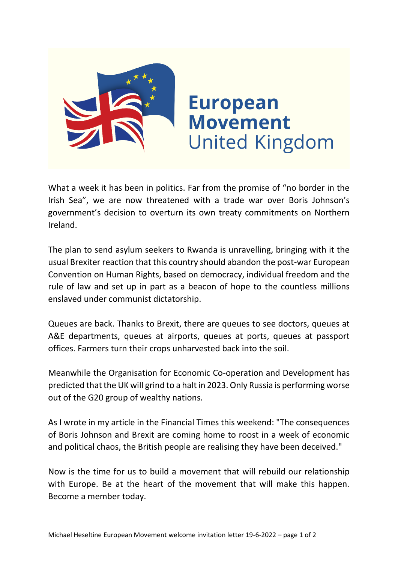

What a week it has been in politics. Far from the promise of "no border in the Irish Sea", we are now threatened with a trade war over Boris Johnson's government's decision to overturn its own treaty commitments on Northern Ireland.

The plan to send asylum seekers to Rwanda is unravelling, bringing with it the usual Brexiter reaction that this country should abandon the post-war European Convention on Human Rights, based on democracy, individual freedom and the rule of law and set up in part as a beacon of hope to the countless millions enslaved under communist dictatorship.

Queues are back. Thanks to Brexit, there are queues to see doctors, queues at A&E departments, queues at airports, queues at ports, queues at passport offices. Farmers turn their crops unharvested back into the soil.

Meanwhile the Organisation for Economic Co-operation and Development has predicted that the UK will grind to a halt in 2023. Only Russia is performing worse out of the G20 group of wealthy nations.

As I wrote in my article in the Financial Times this weekend: "The consequences of Boris Johnson and Brexit are coming home to roost in a week of economic and political chaos, the British people are realising they have been deceived."

Now is the time for us to build a movement that will rebuild our relationship with Europe. Be at the heart of the movement that will make this happen. Become a member today.